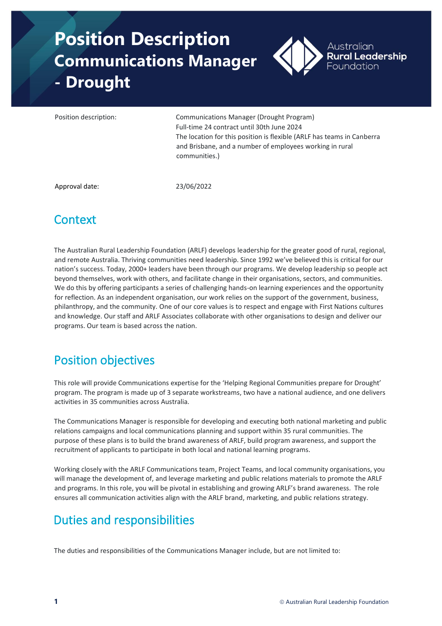# **Position Description Communications Manager - Drought**



Position description: Communications Manager (Drought Program) Full-time 24 contract until 30th June 2024 The location for this position is flexible (ARLF has teams in Canberra and Brisbane, and a number of employees working in rural communities.)

Approval date: 23/06/2022

# **Context**

The Australian Rural Leadership Foundation (ARLF) develops leadership for the greater good of rural, regional, and remote Australia. Thriving communities need leadership. Since 1992 we've believed this is critical for our nation's success. Today, 2000+ leaders have been through our programs. We develop leadership so people act beyond themselves, work with others, and facilitate change in their organisations, sectors, and communities. We do this by offering participants a series of challenging hands-on learning experiences and the opportunity for reflection. As an independent organisation, our work relies on the support of the government, business, philanthropy, and the community. One of our core values is to respect and engage with First Nations cultures and knowledge. Our staff and ARLF Associates collaborate with other organisations to design and deliver our programs. Our team is based across the nation.

# Position objectives

This role will provide Communications expertise for the 'Helping Regional Communities prepare for Drought' program. The program is made up of 3 separate workstreams, two have a national audience, and one delivers activities in 35 communities across Australia.

The Communications Manager is responsible for developing and executing both national marketing and public relations campaigns and local communications planning and support within 35 rural communities. The purpose of these plans is to build the brand awareness of ARLF, build program awareness, and support the recruitment of applicants to participate in both local and national learning programs.

Working closely with the ARLF Communications team, Project Teams, and local community organisations, you will manage the development of, and leverage marketing and public relations materials to promote the ARLF and programs. In this role, you will be pivotal in establishing and growing ARLF's brand awareness. The role ensures all communication activities align with the ARLF brand, marketing, and public relations strategy.

# Duties and responsibilities

The duties and responsibilities of the Communications Manager include, but are not limited to: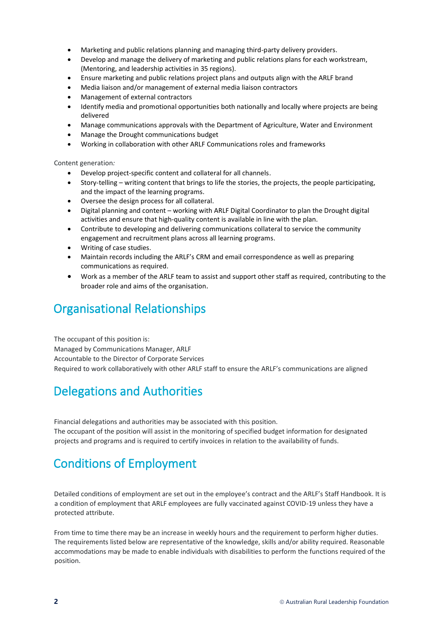- Marketing and public relations planning and managing third-party delivery providers.
- Develop and manage the delivery of marketing and public relations plans for each workstream, (Mentoring, and leadership activities in 35 regions).
- Ensure marketing and public relations project plans and outputs align with the ARLF brand
- Media liaison and/or management of external media liaison contractors
- Management of external contractors
- Identify media and promotional opportunities both nationally and locally where projects are being delivered
- Manage communications approvals with the Department of Agriculture, Water and Environment
- Manage the Drought communications budget
- Working in collaboration with other ARLF Communications roles and frameworks

Content generation*:*

- Develop project-specific content and collateral for all channels.
- Story-telling writing content that brings to life the stories, the projects, the people participating, and the impact of the learning programs.
- Oversee the design process for all collateral.
- Digital planning and content working with ARLF Digital Coordinator to plan the Drought digital activities and ensure that high-quality content is available in line with the plan.
- Contribute to developing and delivering communications collateral to service the community engagement and recruitment plans across all learning programs.
- Writing of case studies.
- Maintain records including the ARLF's CRM and email correspondence as well as preparing communications as required.
- Work as a member of the ARLF team to assist and support other staff as required, contributing to the broader role and aims of the organisation.

#### Organisational Relationships

The occupant of this position is: Managed by Communications Manager, ARLF Accountable to the Director of Corporate Services Required to work collaboratively with other ARLF staff to ensure the ARLF's communications are aligned

## Delegations and Authorities

Financial delegations and authorities may be associated with this position. The occupant of the position will assist in the monitoring of specified budget information for designated projects and programs and is required to certify invoices in relation to the availability of funds.

## Conditions of Employment

Detailed conditions of employment are set out in the employee's contract and the ARLF's Staff Handbook. It is a condition of employment that ARLF employees are fully vaccinated against COVID-19 unless they have a protected attribute.

From time to time there may be an increase in weekly hours and the requirement to perform higher duties. The requirements listed below are representative of the knowledge, skills and/or ability required. Reasonable accommodations may be made to enable individuals with disabilities to perform the functions required of the position.